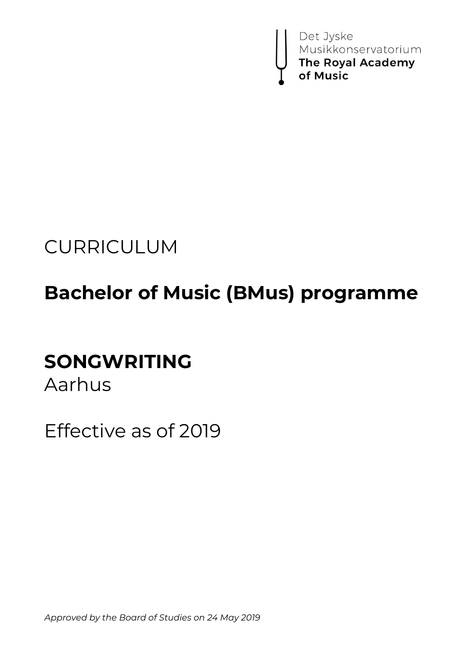

# CURRICULUM

# **Bachelor of Music (BMus) programme**

# **SONGWRITING**

Aarhus

Effective as of 2019

*Approved by the Board of Studies on 24 May 2019*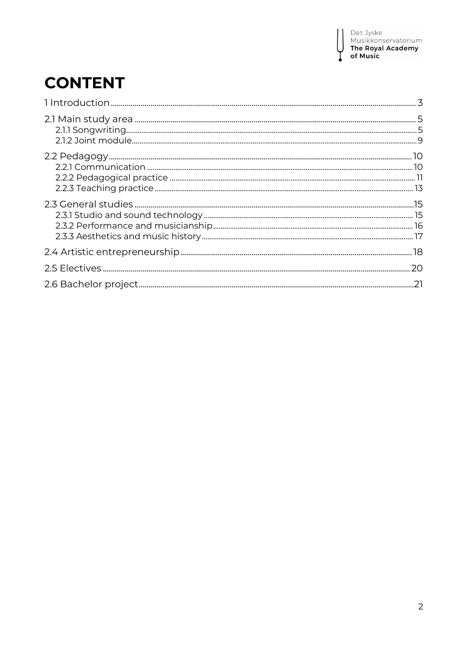I

# **CONTENT**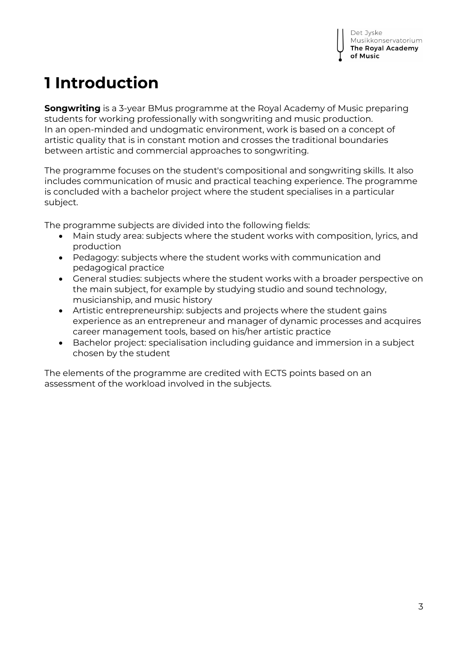# **1 Introduction**

**Songwriting** is a 3-year BMus programme at the Royal Academy of Music preparing students for working professionally with songwriting and music production. In an open-minded and undogmatic environment, work is based on a concept of artistic quality that is in constant motion and crosses the traditional boundaries between artistic and commercial approaches to songwriting.

The programme focuses on the student's compositional and songwriting skills. It also includes communication of music and practical teaching experience. The programme is concluded with a bachelor project where the student specialises in a particular subject.

The programme subjects are divided into the following fields:

- Main study area: subjects where the student works with composition, lyrics, and production
- Pedagogy: subjects where the student works with communication and pedagogical practice
- General studies: subjects where the student works with a broader perspective on the main subject, for example by studying studio and sound technology, musicianship, and music history
- Artistic entrepreneurship: subjects and projects where the student gains experience as an entrepreneur and manager of dynamic processes and acquires career management tools, based on his/her artistic practice
- Bachelor project: specialisation including guidance and immersion in a subject chosen by the student

The elements of the programme are credited with ECTS points based on an assessment of the workload involved in the subjects.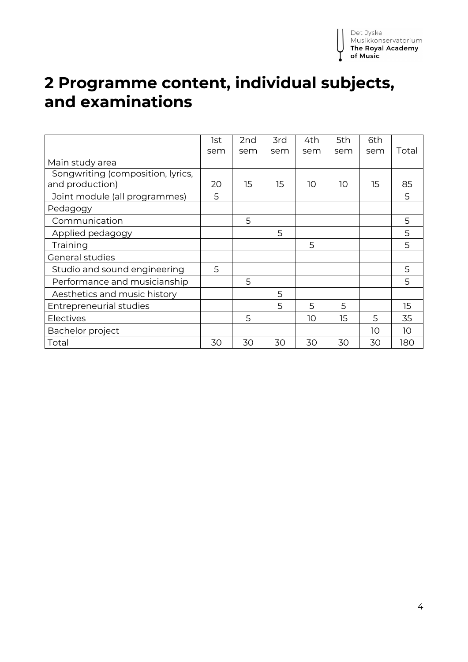# **2 Programme content, individual subjects, and examinations**

|                                                      | 1st | 2 <sub>nd</sub> | 3rd | 4th | 5th | 6th |       |
|------------------------------------------------------|-----|-----------------|-----|-----|-----|-----|-------|
|                                                      | sem | sem             | sem | sem | sem | sem | Total |
| Main study area                                      |     |                 |     |     |     |     |       |
| Songwriting (composition, lyrics,<br>and production) | 20  | 15              | 15  | 10  | 10  | 15  | 85    |
| Joint module (all programmes)                        | 5   |                 |     |     |     |     | 5     |
| Pedagogy                                             |     |                 |     |     |     |     |       |
| Communication                                        |     | 5               |     |     |     |     | 5     |
| Applied pedagogy                                     |     |                 | 5   |     |     |     | 5     |
| Training                                             |     |                 |     | 5   |     |     | 5     |
| General studies                                      |     |                 |     |     |     |     |       |
| Studio and sound engineering                         | 5   |                 |     |     |     |     | 5     |
| Performance and musicianship                         |     | 5               |     |     |     |     | 5     |
| Aesthetics and music history                         |     |                 | 5   |     |     |     |       |
| <b>Entrepreneurial studies</b>                       |     |                 | 5   | 5   | 5   |     | 15    |
| Electives                                            |     | 5               |     | 10  | 15  | 5   | 35    |
| Bachelor project                                     |     |                 |     |     |     | 10  | 10    |
| Total                                                | 30  | 30              | 30  | 30  | 30  | 30  | 180   |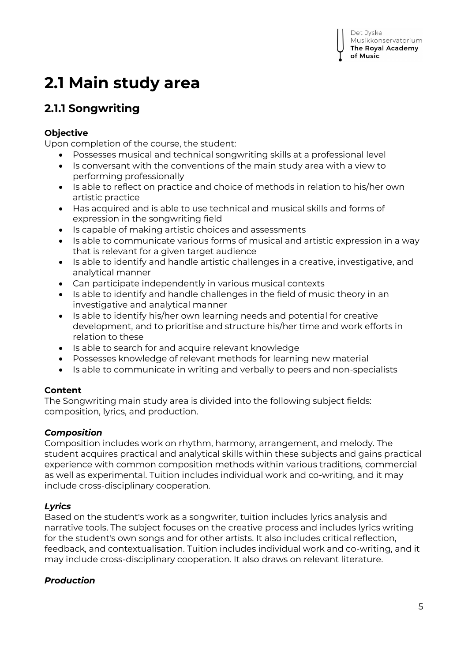# **2.1 Main study area**

# **2.1.1 Songwriting**

## **Objective**

Upon completion of the course, the student:

- Possesses musical and technical songwriting skills at a professional level
- Is conversant with the conventions of the main study area with a view to performing professionally
- Is able to reflect on practice and choice of methods in relation to his/her own artistic practice
- Has acquired and is able to use technical and musical skills and forms of expression in the songwriting field
- Is capable of making artistic choices and assessments
- Is able to communicate various forms of musical and artistic expression in a way that is relevant for a given target audience
- Is able to identify and handle artistic challenges in a creative, investigative, and analytical manner
- Can participate independently in various musical contexts
- Is able to identify and handle challenges in the field of music theory in an investigative and analytical manner
- Is able to identify his/her own learning needs and potential for creative development, and to prioritise and structure his/her time and work efforts in relation to these
- Is able to search for and acquire relevant knowledge
- Possesses knowledge of relevant methods for learning new material
- Is able to communicate in writing and verbally to peers and non-specialists

### **Content**

The Songwriting main study area is divided into the following subject fields: composition, lyrics, and production.

### *Composition*

Composition includes work on rhythm, harmony, arrangement, and melody. The student acquires practical and analytical skills within these subjects and gains practical experience with common composition methods within various traditions, commercial as well as experimental. Tuition includes individual work and co-writing, and it may include cross-disciplinary cooperation.

## *Lyrics*

Based on the student's work as a songwriter, tuition includes lyrics analysis and narrative tools. The subject focuses on the creative process and includes lyrics writing for the student's own songs and for other artists. It also includes critical reflection, feedback, and contextualisation. Tuition includes individual work and co-writing, and it may include cross-disciplinary cooperation. It also draws on relevant literature.

## *Production*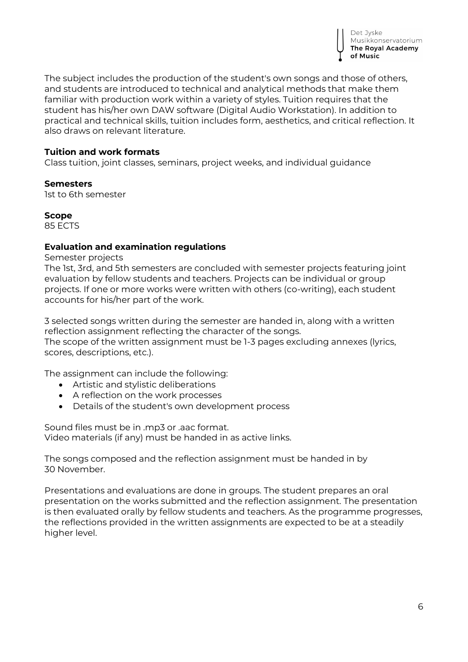

The subject includes the production of the student's own songs and those of others, and students are introduced to technical and analytical methods that make them familiar with production work within a variety of styles. Tuition requires that the student has his/her own DAW software (Digital Audio Workstation). In addition to practical and technical skills, tuition includes form, aesthetics, and critical reflection. It also draws on relevant literature.

### **Tuition and work formats**

Class tuition, joint classes, seminars, project weeks, and individual guidance

#### **Semesters**

1st to 6th semester

**Scope** 85 ECTS

### **Evaluation and examination regulations**

Semester projects

The 1st, 3rd, and 5th semesters are concluded with semester projects featuring joint evaluation by fellow students and teachers. Projects can be individual or group projects. If one or more works were written with others (co-writing), each student accounts for his/her part of the work.

3 selected songs written during the semester are handed in, along with a written reflection assignment reflecting the character of the songs.

The scope of the written assignment must be 1-3 pages excluding annexes (lyrics, scores, descriptions, etc.).

The assignment can include the following:

- Artistic and stylistic deliberations
- A reflection on the work processes
- Details of the student's own development process

Sound files must be in .mp3 or .aac format. Video materials (if any) must be handed in as active links.

The songs composed and the reflection assignment must be handed in by 30 November.

Presentations and evaluations are done in groups. The student prepares an oral presentation on the works submitted and the reflection assignment. The presentation is then evaluated orally by fellow students and teachers. As the programme progresses, the reflections provided in the written assignments are expected to be at a steadily higher level.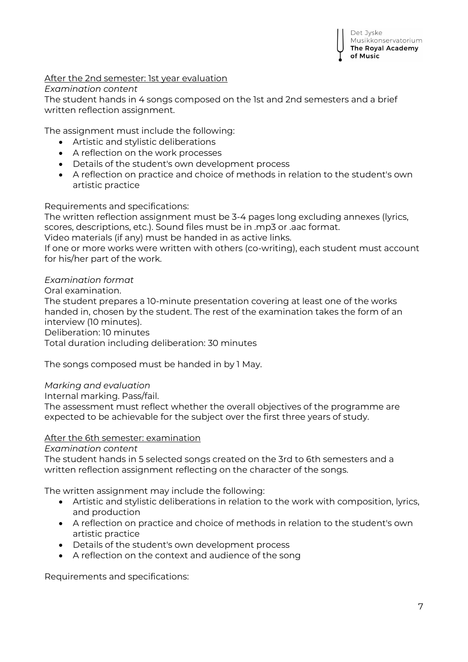### After the 2nd semester: 1st year evaluation

#### *Examination content*

The student hands in 4 songs composed on the 1st and 2nd semesters and a brief written reflection assignment.

The assignment must include the following:

- Artistic and stylistic deliberations
- A reflection on the work processes
- Details of the student's own development process
- A reflection on practice and choice of methods in relation to the student's own artistic practice

Requirements and specifications:

The written reflection assignment must be 3-4 pages long excluding annexes (lyrics, scores, descriptions, etc.). Sound files must be in .mp3 or .aac format.

Video materials (if any) must be handed in as active links.

If one or more works were written with others (co-writing), each student must account for his/her part of the work.

### *Examination format*

Oral examination.

The student prepares a 10-minute presentation covering at least one of the works handed in, chosen by the student. The rest of the examination takes the form of an interview (10 minutes).

Deliberation: 10 minutes

Total duration including deliberation: 30 minutes

The songs composed must be handed in by 1 May.

### *Marking and evaluation*

Internal marking. Pass/fail.

The assessment must reflect whether the overall objectives of the programme are expected to be achievable for the subject over the first three years of study.

#### After the 6th semester: examination

*Examination content*

The student hands in 5 selected songs created on the 3rd to 6th semesters and a written reflection assignment reflecting on the character of the songs.

The written assignment may include the following:

- Artistic and stylistic deliberations in relation to the work with composition, lyrics, and production
- A reflection on practice and choice of methods in relation to the student's own artistic practice
- Details of the student's own development process
- A reflection on the context and audience of the song

Requirements and specifications: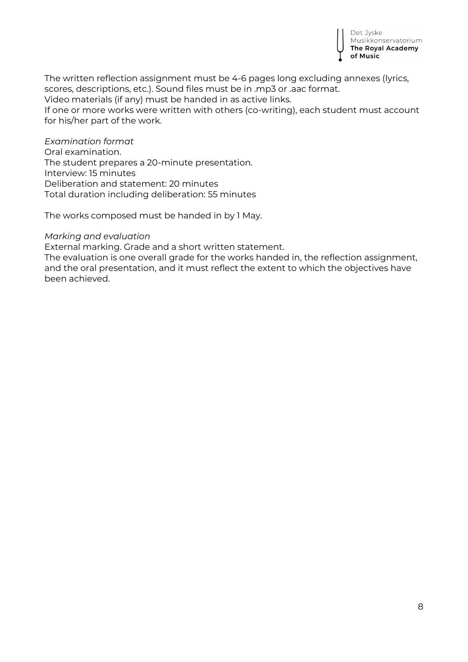

The written reflection assignment must be 4-6 pages long excluding annexes (lyrics, scores, descriptions, etc.). Sound files must be in .mp3 or .aac format.

Video materials (if any) must be handed in as active links.

If one or more works were written with others (co-writing), each student must account for his/her part of the work.

*Examination format* Oral examination. The student prepares a 20-minute presentation. Interview: 15 minutes Deliberation and statement: 20 minutes Total duration including deliberation: 55 minutes

The works composed must be handed in by 1 May.

#### *Marking and evaluation*

External marking. Grade and a short written statement.

The evaluation is one overall grade for the works handed in, the reflection assignment, and the oral presentation, and it must reflect the extent to which the objectives have been achieved.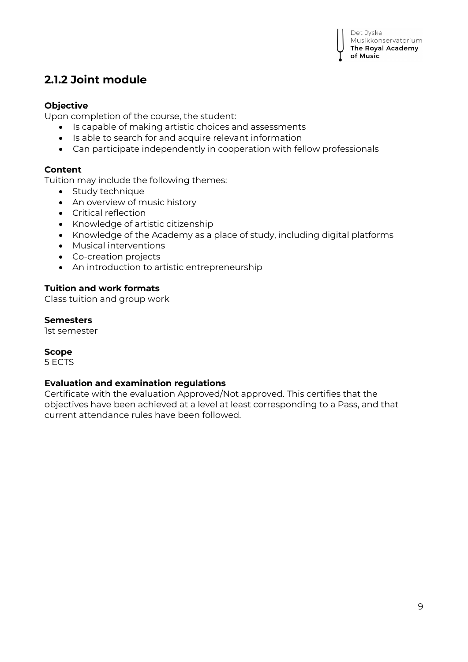## **2.1.2 Joint module**

### **Objective**

Upon completion of the course, the student:

- Is capable of making artistic choices and assessments
- Is able to search for and acquire relevant information
- Can participate independently in cooperation with fellow professionals

### **Content**

Tuition may include the following themes:

- Study technique
- An overview of music history
- Critical reflection
- Knowledge of artistic citizenship
- Knowledge of the Academy as a place of study, including digital platforms
- Musical interventions
- Co-creation projects
- An introduction to artistic entrepreneurship

### **Tuition and work formats**

Class tuition and group work

#### **Semesters**

1st semester

#### **Scope**

5 ECTS

### **Evaluation and examination regulations**

Certificate with the evaluation Approved/Not approved. This certifies that the objectives have been achieved at a level at least corresponding to a Pass, and that current attendance rules have been followed.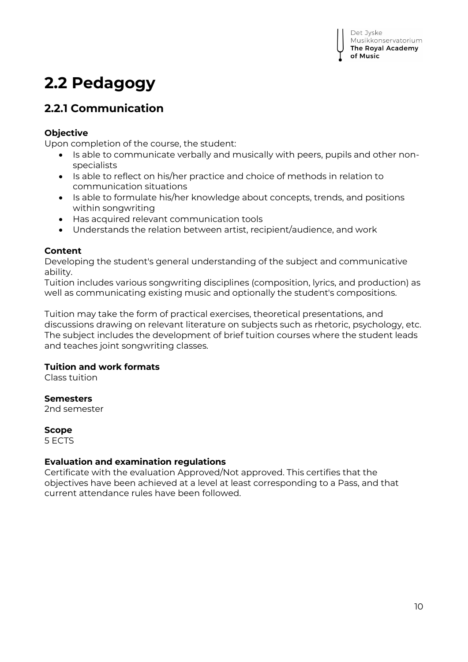# **2.2 Pedagogy**

## **2.2.1 Communication**

### **Objective**

Upon completion of the course, the student:

- Is able to communicate verbally and musically with peers, pupils and other nonspecialists
- Is able to reflect on his/her practice and choice of methods in relation to communication situations
- Is able to formulate his/her knowledge about concepts, trends, and positions within songwriting
- Has acquired relevant communication tools
- Understands the relation between artist, recipient/audience, and work

### **Content**

Developing the student's general understanding of the subject and communicative ability.

Tuition includes various songwriting disciplines (composition, lyrics, and production) as well as communicating existing music and optionally the student's compositions.

Tuition may take the form of practical exercises, theoretical presentations, and discussions drawing on relevant literature on subjects such as rhetoric, psychology, etc. The subject includes the development of brief tuition courses where the student leads and teaches joint songwriting classes.

### **Tuition and work formats**

Class tuition

### **Semesters**

2nd semester

### **Scope**

5 ECTS

### **Evaluation and examination regulations**

Certificate with the evaluation Approved/Not approved. This certifies that the objectives have been achieved at a level at least corresponding to a Pass, and that current attendance rules have been followed.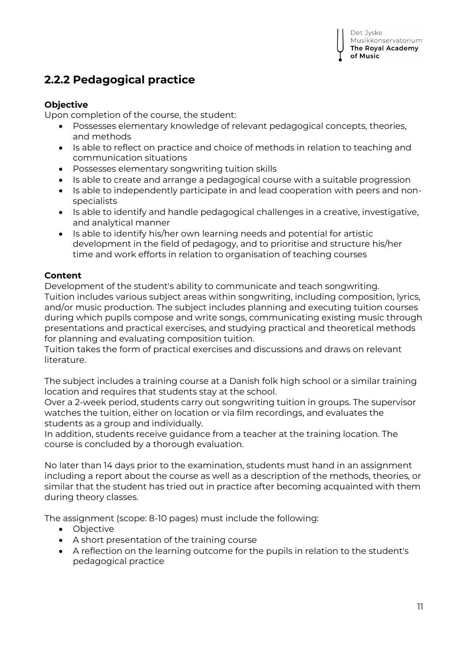## **2.2.2 Pedagogical practice**

### **Objective**

Upon completion of the course, the student:

- Possesses elementary knowledge of relevant pedagogical concepts, theories, and methods
- Is able to reflect on practice and choice of methods in relation to teaching and communication situations
- Possesses elementary songwriting tuition skills
- Is able to create and arrange a pedagogical course with a suitable progression
- Is able to independently participate in and lead cooperation with peers and nonspecialists
- Is able to identify and handle pedagogical challenges in a creative, investigative, and analytical manner
- Is able to identify his/her own learning needs and potential for artistic development in the field of pedagogy, and to prioritise and structure his/her time and work efforts in relation to organisation of teaching courses

### **Content**

Development of the student's ability to communicate and teach songwriting. Tuition includes various subject areas within songwriting, including composition, lyrics, and/or music production. The subject includes planning and executing tuition courses during which pupils compose and write songs, communicating existing music through presentations and practical exercises, and studying practical and theoretical methods for planning and evaluating composition tuition.

Tuition takes the form of practical exercises and discussions and draws on relevant literature.

The subject includes a training course at a Danish folk high school or a similar training location and requires that students stay at the school.

Over a 2-week period, students carry out songwriting tuition in groups. The supervisor watches the tuition, either on location or via film recordings, and evaluates the students as a group and individually.

In addition, students receive guidance from a teacher at the training location. The course is concluded by a thorough evaluation.

No later than 14 days prior to the examination, students must hand in an assignment including a report about the course as well as a description of the methods, theories, or similar that the student has tried out in practice after becoming acquainted with them during theory classes.

The assignment (scope: 8-10 pages) must include the following:

- Objective
- A short presentation of the training course
- A reflection on the learning outcome for the pupils in relation to the student's pedagogical practice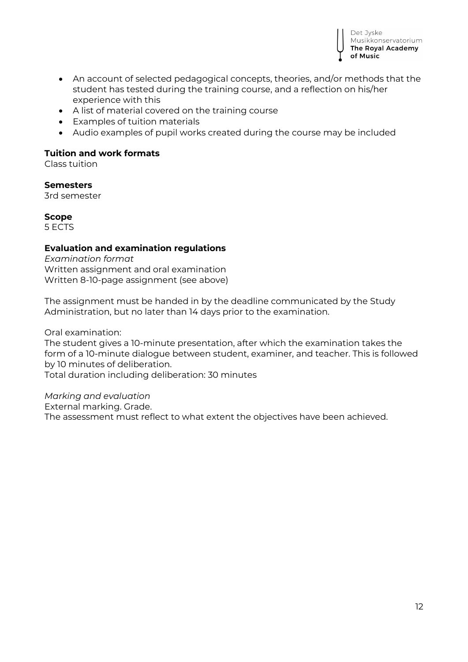

- An account of selected pedagogical concepts, theories, and/or methods that the student has tested during the training course, and a reflection on his/her experience with this
- A list of material covered on the training course
- Examples of tuition materials
- Audio examples of pupil works created during the course may be included

### **Tuition and work formats**

Class tuition

**Semesters**  3rd semester

**Scope** 5 ECTS

### **Evaluation and examination regulations**

*Examination format* Written assignment and oral examination Written 8-10-page assignment (see above)

The assignment must be handed in by the deadline communicated by the Study Administration, but no later than 14 days prior to the examination.

Oral examination:

The student gives a 10-minute presentation, after which the examination takes the form of a 10-minute dialogue between student, examiner, and teacher. This is followed by 10 minutes of deliberation.

Total duration including deliberation: 30 minutes

*Marking and evaluation*

External marking. Grade.

The assessment must reflect to what extent the objectives have been achieved.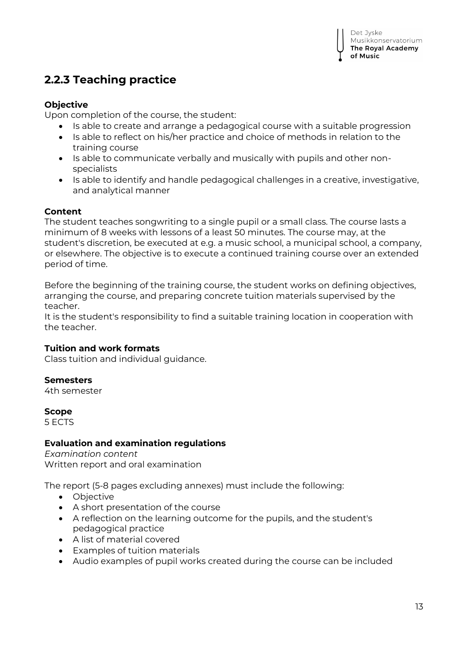## **2.2.3 Teaching practice**

### **Objective**

Upon completion of the course, the student:

- Is able to create and arrange a pedagogical course with a suitable progression
- Is able to reflect on his/her practice and choice of methods in relation to the training course
- Is able to communicate verbally and musically with pupils and other nonspecialists
- Is able to identify and handle pedagogical challenges in a creative, investigative, and analytical manner

### **Content**

The student teaches songwriting to a single pupil or a small class. The course lasts a minimum of 8 weeks with lessons of a least 50 minutes. The course may, at the student's discretion, be executed at e.g. a music school, a municipal school, a company, or elsewhere. The objective is to execute a continued training course over an extended period of time.

Before the beginning of the training course, the student works on defining objectives, arranging the course, and preparing concrete tuition materials supervised by the teacher.

It is the student's responsibility to find a suitable training location in cooperation with the teacher.

### **Tuition and work formats**

Class tuition and individual guidance.

### **Semesters**

4th semester

**Scope**

5 ECTS

### **Evaluation and examination regulations**

*Examination content* Written report and oral examination

The report (5-8 pages excluding annexes) must include the following:

- Objective
- A short presentation of the course
- A reflection on the learning outcome for the pupils, and the student's pedagogical practice
- A list of material covered
- Examples of tuition materials
- Audio examples of pupil works created during the course can be included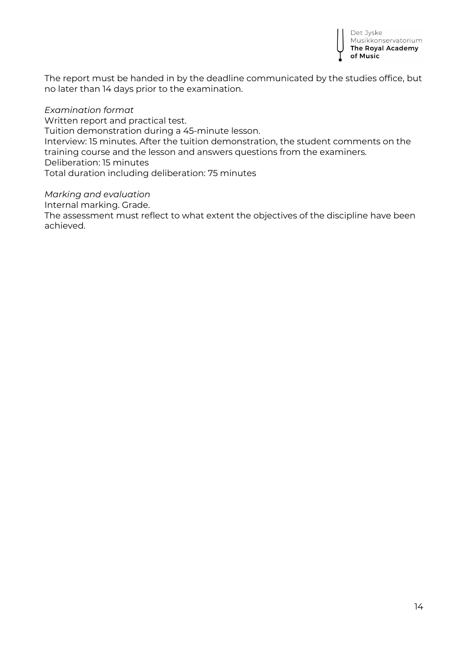

The report must be handed in by the deadline communicated by the studies office, but no later than 14 days prior to the examination.

*Examination format* Written report and practical test. Tuition demonstration during a 45-minute lesson. Interview: 15 minutes. After the tuition demonstration, the student comments on the training course and the lesson and answers questions from the examiners. Deliberation: 15 minutes Total duration including deliberation: 75 minutes

*Marking and evaluation* Internal marking. Grade. The assessment must reflect to what extent the objectives of the discipline have been achieved.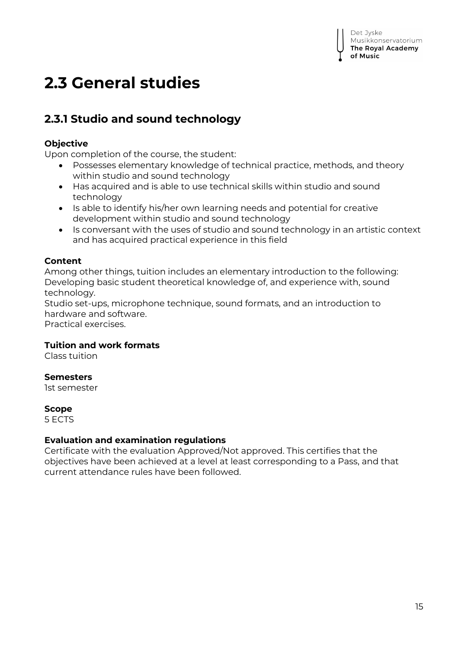# **2.3 General studies**

## **2.3.1 Studio and sound technology**

### **Objective**

Upon completion of the course, the student:

- Possesses elementary knowledge of technical practice, methods, and theory within studio and sound technology
- Has acquired and is able to use technical skills within studio and sound technology
- Is able to identify his/her own learning needs and potential for creative development within studio and sound technology
- Is conversant with the uses of studio and sound technology in an artistic context and has acquired practical experience in this field

### **Content**

Among other things, tuition includes an elementary introduction to the following: Developing basic student theoretical knowledge of, and experience with, sound technology.

Studio set-ups, microphone technique, sound formats, and an introduction to hardware and software.

Practical exercises.

### **Tuition and work formats**

Class tuition

### **Semesters**

1st semester

#### **Scope**

5 ECTS

#### **Evaluation and examination regulations**

Certificate with the evaluation Approved/Not approved. This certifies that the objectives have been achieved at a level at least corresponding to a Pass, and that current attendance rules have been followed.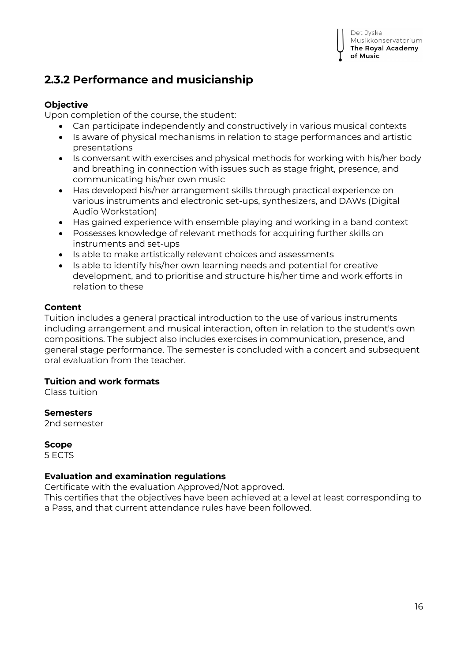# **2.3.2 Performance and musicianship**

## **Objective**

Upon completion of the course, the student:

- Can participate independently and constructively in various musical contexts
- Is aware of physical mechanisms in relation to stage performances and artistic presentations
- Is conversant with exercises and physical methods for working with his/her body and breathing in connection with issues such as stage fright, presence, and communicating his/her own music
- Has developed his/her arrangement skills through practical experience on various instruments and electronic set-ups, synthesizers, and DAWs (Digital Audio Workstation)
- Has gained experience with ensemble playing and working in a band context
- Possesses knowledge of relevant methods for acquiring further skills on instruments and set-ups
- Is able to make artistically relevant choices and assessments
- Is able to identify his/her own learning needs and potential for creative development, and to prioritise and structure his/her time and work efforts in relation to these

### **Content**

Tuition includes a general practical introduction to the use of various instruments including arrangement and musical interaction, often in relation to the student's own compositions. The subject also includes exercises in communication, presence, and general stage performance. The semester is concluded with a concert and subsequent oral evaluation from the teacher.

## **Tuition and work formats**

Class tuition

### **Semesters**

2nd semester

### **Scope**

5 ECTS

### **Evaluation and examination regulations**

Certificate with the evaluation Approved/Not approved.

This certifies that the objectives have been achieved at a level at least corresponding to a Pass, and that current attendance rules have been followed.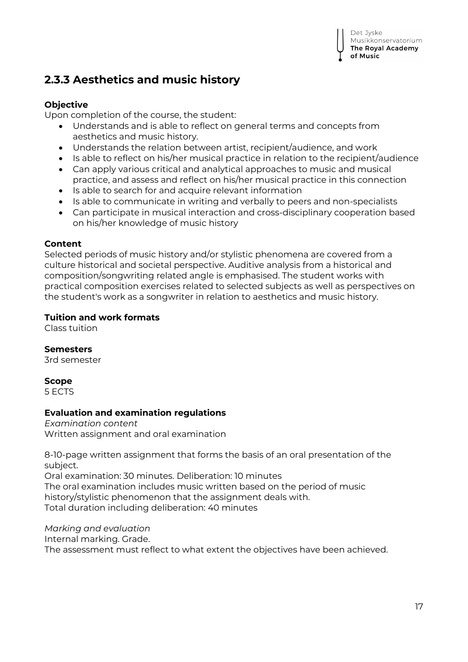Det Jyske Musikkonservatorium The Royal Academy of Music

## **2.3.3 Aesthetics and music history**

### **Objective**

Upon completion of the course, the student:

- Understands and is able to reflect on general terms and concepts from aesthetics and music history.
- Understands the relation between artist, recipient/audience, and work
- Is able to reflect on his/her musical practice in relation to the recipient/audience
- Can apply various critical and analytical approaches to music and musical practice, and assess and reflect on his/her musical practice in this connection
- Is able to search for and acquire relevant information
- Is able to communicate in writing and verbally to peers and non-specialists
- Can participate in musical interaction and cross-disciplinary cooperation based on his/her knowledge of music history

### **Content**

Selected periods of music history and/or stylistic phenomena are covered from a culture historical and societal perspective. Auditive analysis from a historical and composition/songwriting related angle is emphasised. The student works with practical composition exercises related to selected subjects as well as perspectives on the student's work as a songwriter in relation to aesthetics and music history.

### **Tuition and work formats**

Class tuition

### **Semesters**

3rd semester

### **Scope**

5 ECTS

### **Evaluation and examination regulations**

*Examination content* Written assignment and oral examination

8-10-page written assignment that forms the basis of an oral presentation of the subject.

Oral examination: 30 minutes. Deliberation: 10 minutes The oral examination includes music written based on the period of music history/stylistic phenomenon that the assignment deals with. Total duration including deliberation: 40 minutes

*Marking and evaluation* Internal marking. Grade.

The assessment must reflect to what extent the objectives have been achieved.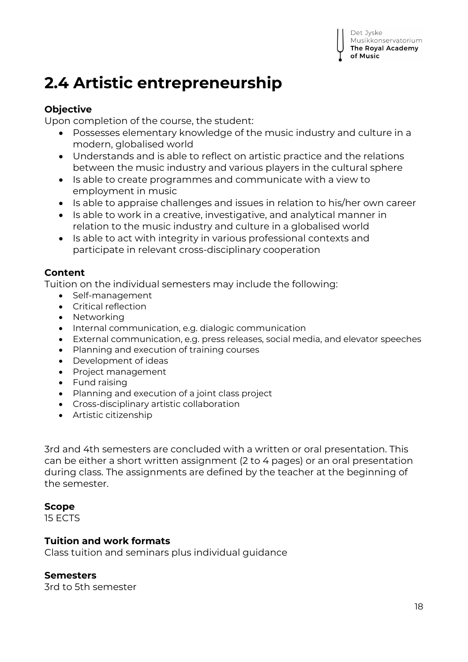# **2.4 Artistic entrepreneurship**

## **Objective**

Upon completion of the course, the student:

- Possesses elementary knowledge of the music industry and culture in a modern, globalised world
- Understands and is able to reflect on artistic practice and the relations between the music industry and various players in the cultural sphere
- Is able to create programmes and communicate with a view to employment in music
- Is able to appraise challenges and issues in relation to his/her own career
- Is able to work in a creative, investigative, and analytical manner in relation to the music industry and culture in a globalised world
- Is able to act with integrity in various professional contexts and participate in relevant cross-disciplinary cooperation

## **Content**

Tuition on the individual semesters may include the following:

- Self-management
- Critical reflection
- Networking
- $\bullet$  Internal communication, e.g. dialogic communication
- External communication, e.g. press releases, social media, and elevator speeches
- Planning and execution of training courses
- Development of ideas
- Project management
- Fund raising
- Planning and execution of a joint class project
- Cross-disciplinary artistic collaboration
- Artistic citizenship

3rd and 4th semesters are concluded with a written or oral presentation. This can be either a short written assignment (2 to 4 pages) or an oral presentation during class. The assignments are defined by the teacher at the beginning of the semester.

## **Scope**

15 ECTS

## **Tuition and work formats**

Class tuition and seminars plus individual guidance

## **Semesters**

3rd to 5th semester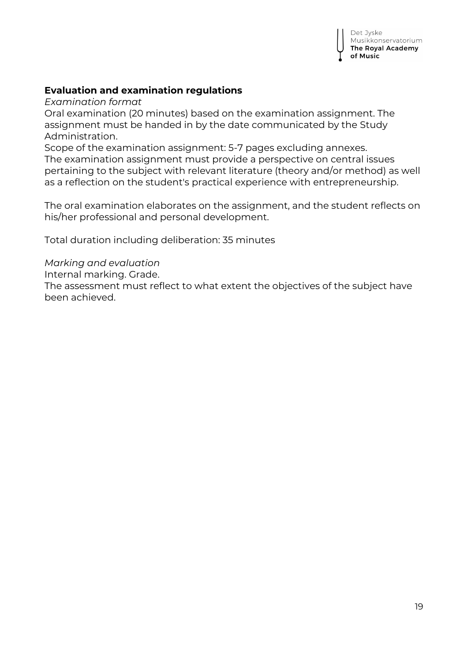### **Evaluation and examination regulations**

*Examination format*

Oral examination (20 minutes) based on the examination assignment. The assignment must be handed in by the date communicated by the Study Administration.

Scope of the examination assignment: 5-7 pages excluding annexes. The examination assignment must provide a perspective on central issues pertaining to the subject with relevant literature (theory and/or method) as well as a reflection on the student's practical experience with entrepreneurship.

The oral examination elaborates on the assignment, and the student reflects on his/her professional and personal development.

Total duration including deliberation: 35 minutes

*Marking and evaluation*

Internal marking. Grade.

The assessment must reflect to what extent the objectives of the subject have been achieved.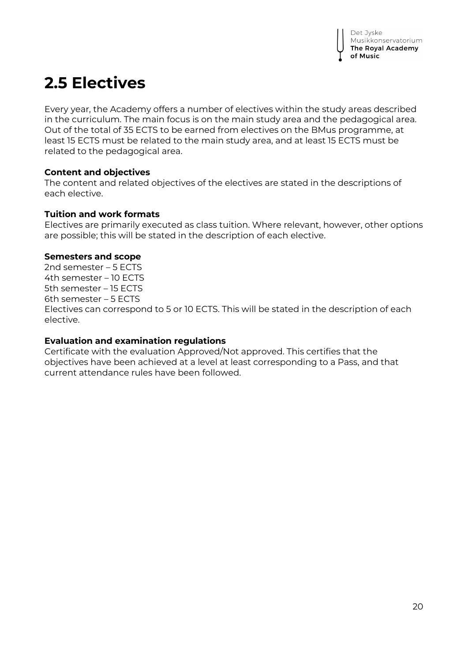# **2.5 Electives**

Every year, the Academy offers a number of electives within the study areas described in the curriculum. The main focus is on the main study area and the pedagogical area. Out of the total of 35 ECTS to be earned from electives on the BMus programme, at least 15 ECTS must be related to the main study area, and at least 15 ECTS must be related to the pedagogical area.

### **Content and objectives**

The content and related objectives of the electives are stated in the descriptions of each elective.

### **Tuition and work formats**

Electives are primarily executed as class tuition. Where relevant, however, other options are possible; this will be stated in the description of each elective.

### **Semesters and scope**

2nd semester – 5 ECTS 4th semester – 10 ECTS 5th semester – 15 ECTS 6th semester – 5 ECTS Electives can correspond to 5 or 10 ECTS. This will be stated in the description of each elective.

### **Evaluation and examination regulations**

Certificate with the evaluation Approved/Not approved. This certifies that the objectives have been achieved at a level at least corresponding to a Pass, and that current attendance rules have been followed.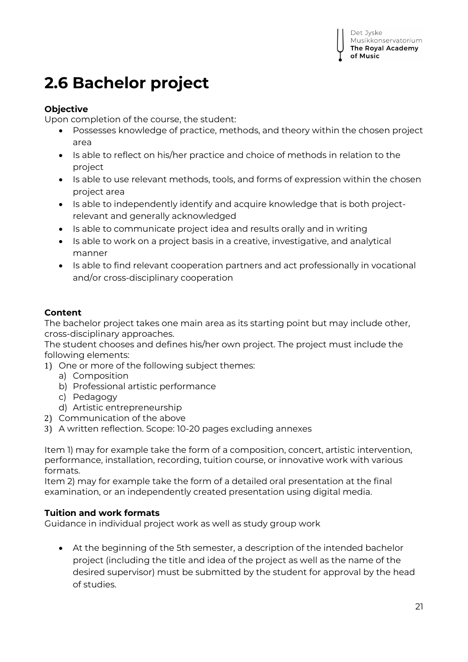# **2.6 Bachelor project**

### **Objective**

Upon completion of the course, the student:

- Possesses knowledge of practice, methods, and theory within the chosen project area
- Is able to reflect on his/her practice and choice of methods in relation to the project
- Is able to use relevant methods, tools, and forms of expression within the chosen project area
- Is able to independently identify and acquire knowledge that is both projectrelevant and generally acknowledged
- Is able to communicate project idea and results orally and in writing
- Is able to work on a project basis in a creative, investigative, and analytical manner
- Is able to find relevant cooperation partners and act professionally in vocational and/or cross-disciplinary cooperation

### **Content**

The bachelor project takes one main area as its starting point but may include other, cross-disciplinary approaches.

The student chooses and defines his/her own project. The project must include the following elements:

- 1) One or more of the following subject themes:
	- a) Composition
	- b) Professional artistic performance
	- c) Pedagogy
	- d) Artistic entrepreneurship
- 2) Communication of the above
- 3) A written reflection. Scope: 10-20 pages excluding annexes

Item 1) may for example take the form of a composition, concert, artistic intervention, performance, installation, recording, tuition course, or innovative work with various formats.

Item 2) may for example take the form of a detailed oral presentation at the final examination, or an independently created presentation using digital media.

### **Tuition and work formats**

Guidance in individual project work as well as study group work

 At the beginning of the 5th semester, a description of the intended bachelor project (including the title and idea of the project as well as the name of the desired supervisor) must be submitted by the student for approval by the head of studies.